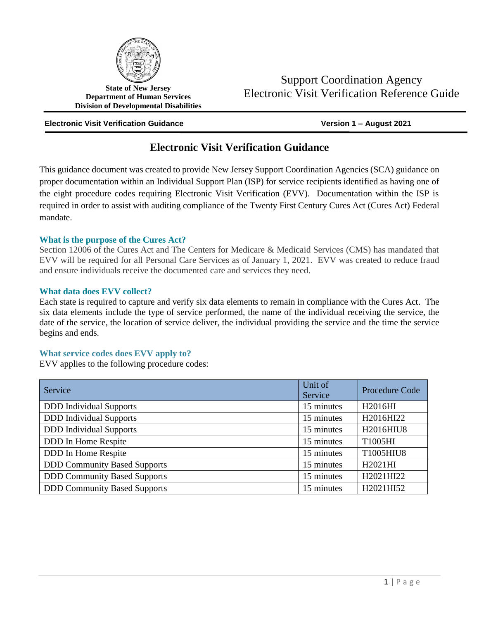

**State of New Jersey Department of Human Services Division of Developmental Disabilities**

#### **Electronic Visit Verification Guidance Version 1 – August 2021**

# **Electronic Visit Verification Guidance**

This guidance document was created to provide New Jersey Support Coordination Agencies (SCA) guidance on proper documentation within an Individual Support Plan (ISP) for service recipients identified as having one of the eight procedure codes requiring Electronic Visit Verification (EVV). Documentation within the ISP is required in order to assist with auditing compliance of the Twenty First Century Cures Act (Cures Act) Federal mandate.

#### **What is the purpose of the Cures Act?**

Section 12006 of the Cures Act and The Centers for Medicare & Medicaid Services (CMS) has mandated that EVV will be required for all Personal Care Services as of January 1, 2021. EVV was created to reduce fraud and ensure individuals receive the documented care and services they need.

#### **What data does EVV collect?**

Each state is required to capture and verify six data elements to remain in compliance with the Cures Act. The six data elements include the type of service performed, the name of the individual receiving the service, the date of the service, the location of service deliver, the individual providing the service and the time the service begins and ends.

#### **What service codes does EVV apply to?**

EVV applies to the following procedure codes:

| Service                             | Unit of<br>Service | Procedure Code |
|-------------------------------------|--------------------|----------------|
| <b>DDD</b> Individual Supports      | 15 minutes         | H2016HI        |
| <b>DDD</b> Individual Supports      | 15 minutes         | H2016HI22      |
| <b>DDD</b> Individual Supports      | 15 minutes         | H2016HIU8      |
| DDD In Home Respite                 | 15 minutes         | T1005HI        |
| DDD In Home Respite                 | 15 minutes         | T1005HIU8      |
| <b>DDD Community Based Supports</b> | 15 minutes         | H2021HI        |
| <b>DDD Community Based Supports</b> | 15 minutes         | H2021HI22      |
| <b>DDD Community Based Supports</b> | 15 minutes         | H2021HI52      |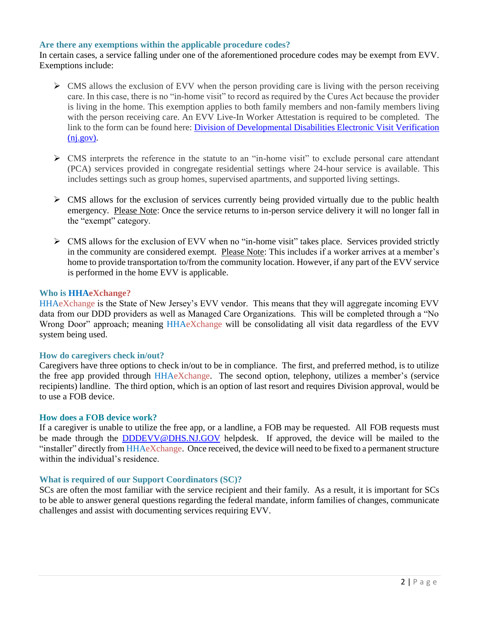# **Are there any exemptions within the applicable procedure codes?**

In certain cases, a service falling under one of the aforementioned procedure codes may be exempt from EVV. Exemptions include:

- $\triangleright$  CMS allows the exclusion of EVV when the person providing care is living with the person receiving care. In this case, there is no "in-home visit" to record as required by the Cures Act because the provider is living in the home. This exemption applies to both family members and non-family members living with the person receiving care. An EVV Live-In Worker Attestation is required to be completed. The link to the form can be found here: [Division of Developmental Disabilities Electronic Visit Verification](https://www.nj.gov/humanservices/ddd/providers/federalrequirements/verification/)  [\(nj.gov\).](https://www.nj.gov/humanservices/ddd/providers/federalrequirements/verification/)
- $\triangleright$  CMS interprets the reference in the statute to an "in-home visit" to exclude personal care attendant (PCA) services provided in congregate residential settings where 24-hour service is available. This includes settings such as group homes, supervised apartments, and supported living settings.
- $\triangleright$  CMS allows for the exclusion of services currently being provided virtually due to the public health emergency. Please Note: Once the service returns to in-person service delivery it will no longer fall in the "exempt" category.
- $\triangleright$  CMS allows for the exclusion of EVV when no "in-home visit" takes place. Services provided strictly in the community are considered exempt. Please Note: This includes if a worker arrives at a member's home to provide transportation to/from the community location. However, if any part of the EVV service is performed in the home EVV is applicable.

# **Who is HHAeXchange?**

HHAeXchange is the State of New Jersey's EVV vendor. This means that they will aggregate incoming EVV data from our DDD providers as well as Managed Care Organizations. This will be completed through a "No Wrong Door" approach; meaning HHAeXchange will be consolidating all visit data regardless of the EVV system being used.

#### **How do caregivers check in/out?**

Caregivers have three options to check in/out to be in compliance. The first, and preferred method, is to utilize the free app provided through HHAeXchange. The second option, telephony, utilizes a member's (service recipients) landline. The third option, which is an option of last resort and requires Division approval, would be to use a FOB device.

#### **How does a FOB device work?**

If a caregiver is unable to utilize the free app, or a landline, a FOB may be requested. All FOB requests must be made through the [DDDEVV@DHS.NJ.GOV](mailto:DDDEVV@DHS.NJ.GOV) helpdesk. If approved, the device will be mailed to the "installer" directly from HHAeXchange. Once received, the device will need to be fixed to a permanent structure within the individual's residence.

#### **What is required of our Support Coordinators (SC)?**

SCs are often the most familiar with the service recipient and their family. As a result, it is important for SCs to be able to answer general questions regarding the federal mandate, inform families of changes, communicate challenges and assist with documenting services requiring EVV.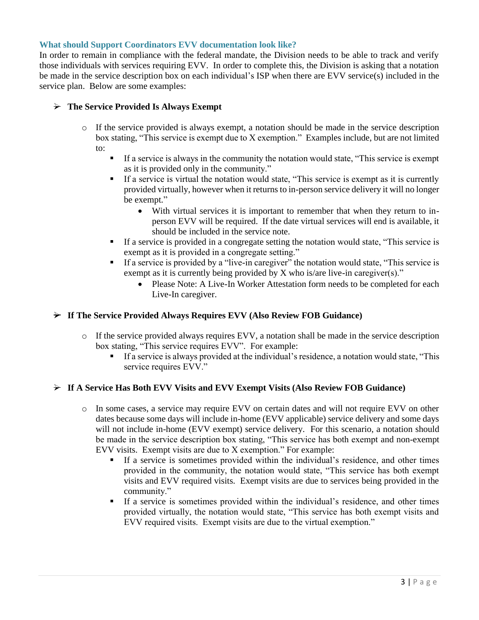# **What should Support Coordinators EVV documentation look like?**

In order to remain in compliance with the federal mandate, the Division needs to be able to track and verify those individuals with services requiring EVV. In order to complete this, the Division is asking that a notation be made in the service description box on each individual's ISP when there are EVV service(s) included in the service plan. Below are some examples:

# **The Service Provided Is Always Exempt**

- $\circ$  If the service provided is always exempt, a notation should be made in the service description box stating, "This service is exempt due to X exemption." Examples include, but are not limited to:
	- If a service is always in the community the notation would state, "This service is exempt as it is provided only in the community."
	- If a service is virtual the notation would state, "This service is exempt as it is currently provided virtually, however when it returns to in-person service delivery it will no longer be exempt."
		- With virtual services it is important to remember that when they return to inperson EVV will be required. If the date virtual services will end is available, it should be included in the service note.
	- If a service is provided in a congregate setting the notation would state, "This service is exempt as it is provided in a congregate setting."
	- If a service is provided by a "live-in caregiver" the notation would state, "This service is exempt as it is currently being provided by X who is/are live-in caregiver(s)."
		- Please Note: A Live-In Worker Attestation form needs to be completed for each Live-In caregiver.

# **If The Service Provided Always Requires EVV (Also Review FOB Guidance)**

- o If the service provided always requires EVV, a notation shall be made in the service description box stating, "This service requires EVV". For example:
	- If a service is always provided at the individual's residence, a notation would state, "This service requires EVV."

# **If A Service Has Both EVV Visits and EVV Exempt Visits (Also Review FOB Guidance)**

- o In some cases, a service may require EVV on certain dates and will not require EVV on other dates because some days will include in-home (EVV applicable) service delivery and some days will not include in-home (EVV exempt) service delivery. For this scenario, a notation should be made in the service description box stating, "This service has both exempt and non-exempt EVV visits. Exempt visits are due to X exemption." For example:
	- If a service is sometimes provided within the individual's residence, and other times provided in the community, the notation would state, "This service has both exempt visits and EVV required visits. Exempt visits are due to services being provided in the community."
	- If a service is sometimes provided within the individual's residence, and other times provided virtually, the notation would state, "This service has both exempt visits and EVV required visits. Exempt visits are due to the virtual exemption."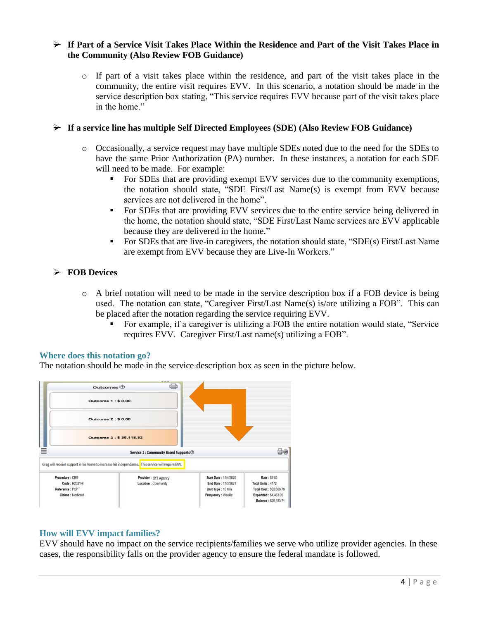# **If Part of a Service Visit Takes Place Within the Residence and Part of the Visit Takes Place in the Community (Also Review FOB Guidance)**

o If part of a visit takes place within the residence, and part of the visit takes place in the community, the entire visit requires EVV. In this scenario, a notation should be made in the service description box stating, "This service requires EVV because part of the visit takes place in the home."

# **If a service line has multiple Self Directed Employees (SDE) (Also Review FOB Guidance)**

- o Occasionally, a service request may have multiple SDEs noted due to the need for the SDEs to have the same Prior Authorization (PA) number. In these instances, a notation for each SDE will need to be made. For example:
	- For SDEs that are providing exempt EVV services due to the community exemptions, the notation should state, "SDE First/Last Name(s) is exempt from EVV because services are not delivered in the home".
	- For SDEs that are providing EVV services due to the entire service being delivered in the home, the notation should state, "SDE First/Last Name services are EVV applicable because they are delivered in the home."
	- For SDEs that are live-in caregivers, the notation should state, "SDE(s) First/Last Name are exempt from EVV because they are Live-In Workers."

# **FOB Devices**

- $\circ$  A brief notation will need to be made in the service description box if a FOB device is being used. The notation can state, "Caregiver First/Last Name(s) is/are utilizing a FOB". This can be placed after the notation regarding the service requiring EVV.
	- For example, if a caregiver is utilizing a FOB the entire notation would state, "Service requires EVV. Caregiver First/Last name(s) utilizing a FOB".

#### **Where does this notation go?**

The notation should be made in the service description box as seen in the picture below.



# **How will EVV impact families?**

EVV should have no impact on the service recipients/families we serve who utilize provider agencies. In these cases, the responsibility falls on the provider agency to ensure the federal mandate is followed.